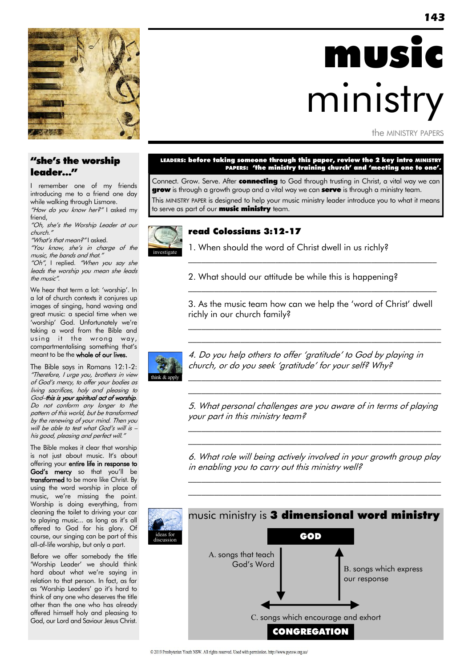

# music ministry

the MINISTRY PAPERS

### "she's the worship leader…"

I remember one of my friends introducing me to a friend one day while walking through Lismore.

"How do you know her?" I asked my friend,

"Oh, she"s the Worship Leader at our church."

"What's that mean?" I asked.

"You know, she"s in charge of the music, the bands and that."

"Oh", I replied. "When you say she leads the worship you mean she leads the music".

We hear that term a lot: 'worship'. In a lot of church contexts it conjures up images of singing, hand waving and great music: a special time when we 'worship' God. Unfortunately we're taking a word from the Bible and using it the wrong way, compartmentalising something that"s meant to be the whole of our lives.

The Bible says in Romans 12:1-2: "Therefore, I urge you, brothers in view of God"s mercy, to offer your bodies as living sacrifices, holy and pleasing to God–this is your spiritual act of worship. Do not conform any longer to the pattern of this world, but be transformed by the renewing of your mind. Then you will be able to test what God's will is his good, pleasing and perfect will."

The Bible makes it clear that worship is not just about music. It's about offering your entire life in response to God's mercy so that you'll be transformed to be more like Christ. By using the word worship in place of music, we"re missing the point. Worship is doing everything, from cleaning the toilet to driving your car to playing music... as long as it's all offered to God for his glory. Of course, our singing can be part of this all-of-life worship, but only a part.

Before we offer somebody the title 'Worship Leader" we should think hard about what we"re saying in relation to that person. In fact, as far as 'Worship Leaders' go it's hard to think of any one who deserves the title other than the one who has already offered himself holy and pleasing to God, our Lord and Saviour Jesus Christ.

#### LEADERS: before taking someone through this paper, review the 2 key intro MINISTRY PAPERS: 'the ministry training church' and 'meeting one to one'.

Connect. Grow. Serve. After connecting to God through trusting in Christ, a vital way we can **grow** is through a growth group and a vital way we can **serve** is through a ministry team. This MINISTRY PAPER is designed to help your music ministry leader introduce you to what it means to serve as part of our **music ministry** team.



### read Colossians 3:12-17

1. When should the word of Christ dwell in us richly?

2. What should our attitude be while this is happening?

3. As the music team how can we help the 'word of Christ" dwell richly in our church family?

\_\_\_\_\_\_\_\_\_\_\_\_\_\_\_\_\_\_\_\_\_\_\_\_\_\_\_\_\_\_\_\_\_\_\_\_\_\_\_\_\_\_\_\_\_\_\_\_\_\_\_\_\_\_\_\_\_\_  $\mathcal{L}_\text{max}$  and the contract of the contract of the contract of the contract of the contract of the contract of the contract of the contract of the contract of the contract of the contract of the contract of the contrac

 $\mathcal{L}_\text{max}$  and the contract of the contract of the contract of the contract of the contract of the contract of

 $\mathcal{L}_\text{max}$  and the contract of the contract of the contract of the contract of the contract of the contract of



4. Do you help others to offer 'gratitude" to God by playing in church, or do you seek "gratitude" for your self? Why?

5. What personal challenges are you aware of in terms of playing your part in this ministry team?

\_\_\_\_\_\_\_\_\_\_\_\_\_\_\_\_\_\_\_\_\_\_\_\_\_\_\_\_\_\_\_\_\_\_\_\_\_\_\_\_\_\_\_\_\_\_\_\_\_\_\_\_\_\_\_\_\_\_ \_\_\_\_\_\_\_\_\_\_\_\_\_\_\_\_\_\_\_\_\_\_\_\_\_\_\_\_\_\_\_\_\_\_\_\_\_\_\_\_\_\_\_\_\_\_\_\_\_\_\_\_\_\_\_\_\_\_

\_\_\_\_\_\_\_\_\_\_\_\_\_\_\_\_\_\_\_\_\_\_\_\_\_\_\_\_\_\_\_\_\_\_\_\_\_\_\_\_\_\_\_\_\_\_\_\_\_\_\_\_\_\_\_\_\_\_ \_\_\_\_\_\_\_\_\_\_\_\_\_\_\_\_\_\_\_\_\_\_\_\_\_\_\_\_\_\_\_\_\_\_\_\_\_\_\_\_\_\_\_\_\_\_\_\_\_\_\_\_\_\_\_\_\_\_

6. What role will being actively involved in your growth group play in enabling you to carry out this ministry well?

\_\_\_\_\_\_\_\_\_\_\_\_\_\_\_\_\_\_\_\_\_\_\_\_\_\_\_\_\_\_\_\_\_\_\_\_\_\_\_\_\_\_\_\_\_\_\_\_\_\_\_\_\_\_\_\_\_\_ \_\_\_\_\_\_\_\_\_\_\_\_\_\_\_\_\_\_\_\_\_\_\_\_\_\_\_\_\_\_\_\_\_\_\_\_\_\_\_\_\_\_\_\_\_\_\_\_\_\_\_\_\_\_\_\_\_\_

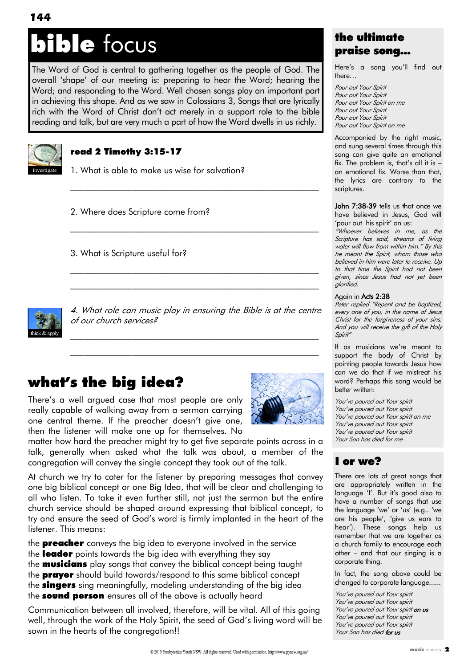# ible focus

The Word of God is central to gathering together as the people of God. The overall "shape" of our meeting is: preparing to hear the Word; hearing the Word; and responding to the Word. Well chosen songs play an important part in achieving this shape. And as we saw in Colossians 3, Songs that are lyrically rich with the Word of Christ don"t act merely in a support role to the bible reading and talk, but are very much a part of how the Word dwells in us richly.



### read 2 Timothy 3:15-17

1. What is able to make us wise for salvation?

2. Where does Scripture come from?

3. What is Scripture useful for?



4. What role can music play in ensuring the Bible is at the centre of our church services?

\_\_\_\_\_\_\_\_\_\_\_\_\_\_\_\_\_\_\_\_\_\_\_\_\_\_\_\_\_\_\_\_\_\_\_\_\_\_\_\_\_\_\_\_\_\_\_\_\_\_\_\_\_\_\_\_\_ \_\_\_\_\_\_\_\_\_\_\_\_\_\_\_\_\_\_\_\_\_\_\_\_\_\_\_\_\_\_\_\_\_\_\_\_\_\_\_\_\_\_\_\_\_\_\_\_\_\_\_\_\_\_\_\_\_

 $\mathcal{L}_\text{max}$  and the contract of the contract of the contract of the contract of the contract of the contract of

 $\mathcal{L}_\text{max}$  and the contract of the contract of the contract of the contract of the contract of the contract of

\_\_\_\_\_\_\_\_\_\_\_\_\_\_\_\_\_\_\_\_\_\_\_\_\_\_\_\_\_\_\_\_\_\_\_\_\_\_\_\_\_\_\_\_\_\_\_\_\_\_\_\_\_\_\_\_\_  $\mathcal{L}_\text{max}$  and the contract of the contract of the contract of the contract of the contract of the contract of

## what's the big idea?

There"s a well argued case that most people are only really capable of walking away from a sermon carrying one central theme. If the preacher doesn't give one, then the listener will make one up for themselves. No



matter how hard the preacher might try to get five separate points across in a talk, generally when asked what the talk was about, a member of the congregation will convey the single concept they took out of the talk.

At church we try to cater for the listener by preparing messages that convey one big biblical concept or one Big Idea, that will be clear and challenging to all who listen. To take it even further still, not just the sermon but the entire church service should be shaped around expressing that biblical concept, to try and ensure the seed of God"s word is firmly implanted in the heart of the listener. This means:

the **preacher** conveys the big idea to everyone involved in the service the leader points towards the big idea with everything they say the **musicians** play songs that convey the biblical concept being taught the **prayer** should build towards/respond to this same biblical concept the **singers** sing meaningfully, modeling understanding of the big idea the **sound person** ensures all of the above is actually heard

Communication between all involved, therefore, will be vital. All of this going well, through the work of the Holy Spirit, the seed of God"s living word will be sown in the hearts of the congregation!!

### the ultimate praise song...

Here"s a song you"ll find out there…

Pour out Your Spirit Pour out Your Spirit Pour out Your Spirit on me Pour out Your Spirit Pour out Your Spirit Pour out Your Spirit on me

Accompanied by the right music, and sung several times through this song can give quite an emotional fix. The problem is, that's all it is  $$ an emotional fix. Worse than that, the lyrics are contrary to the scriptures.

John 7:38-39 tells us that once we have believed in Jesus, God will 'pour out his spirit' on us:

"Whoever believes in me, as the Scripture has said, streams of living water will flow from within him." By this he meant the Spirit, whom those who believed in him were later to receive. Up to that time the Spirit had not been given, since Jesus had not yet been glorified.

#### Again in Acts 2:38

Peter replied "Repent and be baptized, every one of you, in the name of Jesus Christ for the forgiveness of your sins. And you will receive the gift of the Holy Spirit"

If as musicians we"re meant to support the body of Christ by pointing people towards Jesus how can we do that if we mistreat his word? Perhaps this song would be better written:

You"ve poured out Your spirit You've poured out Your spirit You"ve poured out Your spirit on me You"ve poured out Your spirit You"ve poured out Your spirit Your Son has died for me

### I or we?

There are lots of great songs that are appropriately written in the language 'I'. But it's good also to have a number of songs that use the language 'we' or 'us' (e.g.. 'we are his people', 'give us ears to hear"). These songs help us remember that we are together as a church family to encourage each other – and that our singing is a corporate thing.

In fact, the song above could be changed to corporate language......

You"ve poured out Your spirit You"ve poured out Your spirit You've poured out Your spirit on us You"ve poured out Your spirit You've poured out Your spirit Your Son has died for us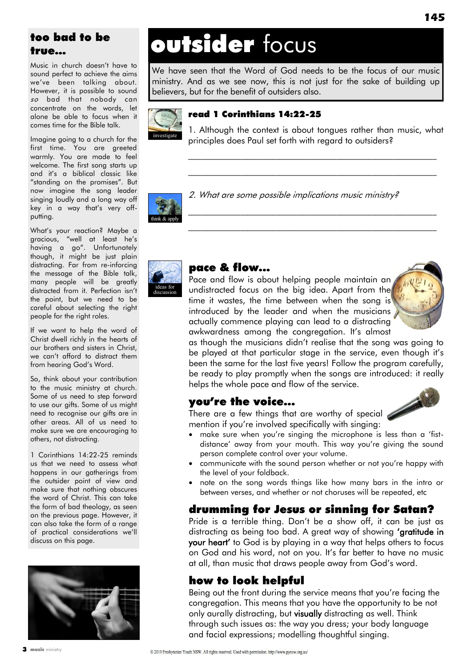### too bad to be true…

Music in church doesn"t have to sound perfect to achieve the aims we"ve been talking about. However, it is possible to sound so bad that nobody can concentrate on the words, let alone be able to focus when it comes time for the Bible talk.

Imagine going to a church for the first time. You are greeted warmly. You are made to feel welcome. The first song starts up and it"s a biblical classic like "standing on the promises". But now imagine the song leader singing loudly and a long way off key in a way that"s very offputting.

What"s your reaction? Maybe a gracious, "well at least he"s having a go". Unfortunately though, it might be just plain distracting. Far from re-inforcing the message of the Bible talk, many people will be greatly distracted from it. Perfection isn"t the point, but we need to be careful about selecting the right people for the right roles.

If we want to help the word of Christ dwell richly in the hearts of our brothers and sisters in Christ, we can"t afford to distract them from hearing God's Word.

So, think about your contribution to the music ministry at church. Some of us need to step forward to use our gifts. Some of us might need to recognise our gifts are in other areas. All of us need to make sure we are encouraging to others, not distracting.

1 Corinthians 14:22-25 reminds us that we need to assess what happens in our gatherings from the outsider point of view and make sure that nothing obscures the word of Christ. This can take the form of bad theology, as seen on the previous page. However, it can also take the form of a range of practical considerations we"ll discuss on this page.



# outsider focus

We have seen that the Word of God needs to be the focus of our music ministry. And as we see now, this is not just for the sake of building up believers, but for the benefit of outsiders also.



### read 1 Corinthians 14:22-25

1. Although the context is about tongues rather than music, what principles does Paul set forth with regard to outsiders?

\_\_\_\_\_\_\_\_\_\_\_\_\_\_\_\_\_\_\_\_\_\_\_\_\_\_\_\_\_\_\_\_\_\_\_\_\_\_\_\_\_\_\_\_\_\_\_\_\_\_\_\_\_\_\_\_\_ \_\_\_\_\_\_\_\_\_\_\_\_\_\_\_\_\_\_\_\_\_\_\_\_\_\_\_\_\_\_\_\_\_\_\_\_\_\_\_\_\_\_\_\_\_\_\_\_\_\_\_\_\_\_\_\_\_

\_\_\_\_\_\_\_\_\_\_\_\_\_\_\_\_\_\_\_\_\_\_\_\_\_\_\_\_\_\_\_\_\_\_\_\_\_\_\_\_\_\_\_\_\_\_\_\_\_\_\_\_\_\_\_\_\_ \_\_\_\_\_\_\_\_\_\_\_\_\_\_\_\_\_\_\_\_\_\_\_\_\_\_\_\_\_\_\_\_\_\_\_\_\_\_\_\_\_\_\_\_\_\_\_\_\_\_\_\_\_\_\_\_\_



2. What are some possible implications music ministry?



### pace & flow...

Pace and flow is about helping people maintain an undistracted focus on the big idea. Apart from the time it wastes, the time between when the song is introduced by the leader and when the musicians actually commence playing can lead to a distracting awkwardness among the congregation. It"s almost



as though the musicians didn"t realise that the song was going to be played at that particular stage in the service, even though it"s been the same for the last five years! Follow the program carefully, be ready to play promptly when the songs are introduced: it really helps the whole pace and flow of the service.

### you're the voice...

There are a few things that are worthy of special mention if you're involved specifically with singing:

- make sure when you"re singing the microphone is less than a "fistdistance' away from your mouth. This way you're giving the sound person complete control over your volume.
- communicate with the sound person whether or not you"re happy with the level of your foldback.
- note on the song words things like how many bars in the intro or between verses, and whether or not choruses will be repeated, etc

### drumming for Jesus or sinning for Satan?

Pride is a terrible thing. Don't be a show off, it can be just as distracting as being too bad. A great way of showing 'gratitude in your heart' to God is by playing in a way that helps others to focus on God and his word, not on you. It's far better to have no music at all, than music that draws people away from God"s word.

### how to look helpful

Being out the front during the service means that you"re facing the congregation. This means that you have the opportunity to be not only aurally distracting, but visually distracting as well. Think through such issues as: the way you dress; your body language and facial expressions; modelling thoughtful singing.